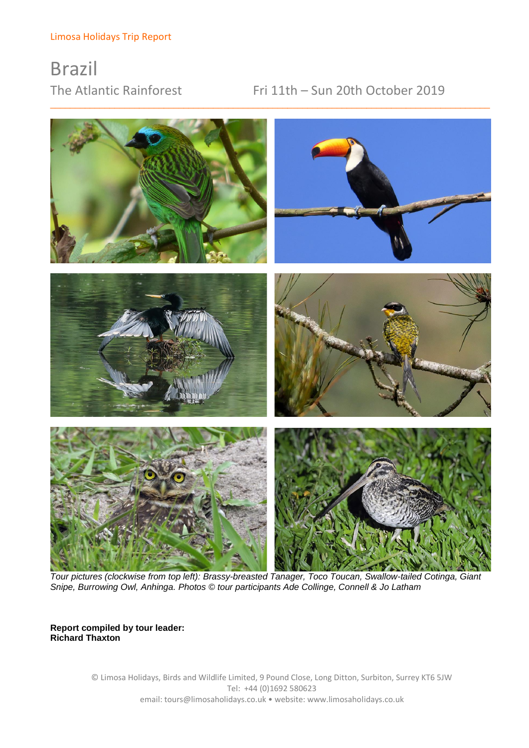# Brazil

# The Atlantic Rainforest Fri 11th – Sun 20th October 2019



\_\_\_\_\_\_\_\_\_\_\_\_\_\_\_\_\_\_\_\_\_\_\_\_\_\_\_\_\_\_\_\_\_\_\_\_\_\_\_\_\_\_\_\_\_\_\_\_\_\_\_\_\_\_\_\_\_\_\_\_\_\_\_\_\_\_\_\_\_\_\_\_\_\_\_\_\_\_\_\_\_\_\_\_\_\_\_\_\_

*Tour pictures (clockwise from top left): Brassy-breasted Tanager, Toco Toucan, Swallow-tailed Cotinga, Giant Snipe, Burrowing Owl, Anhinga. Photos © tour participants Ade Collinge, Connell & Jo Latham*

**Report compiled by tour leader: Richard Thaxton**

> © Limosa Holidays, Birds and Wildlife Limited, 9 Pound Close, Long Ditton, Surbiton, Surrey KT6 5JW Tel: +44 (0)1692 580623 email: tours@limosaholidays.co.uk • website: www.limosaholidays.co.uk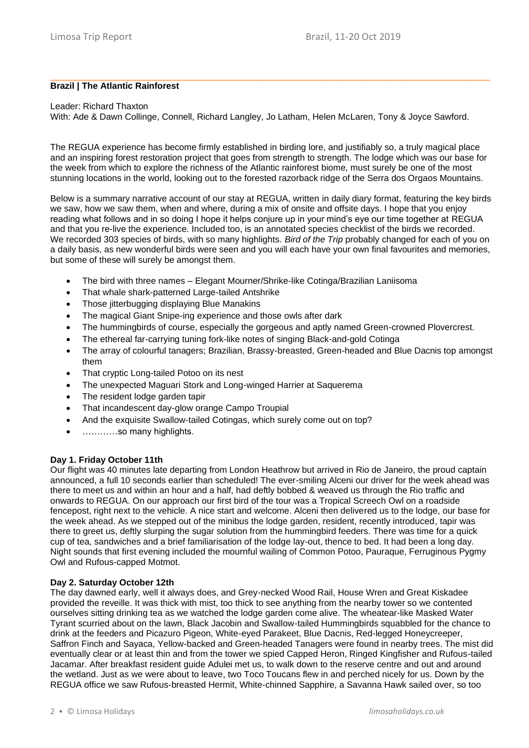#### \_\_\_\_\_\_\_\_\_\_\_\_\_\_\_\_\_\_\_\_\_\_\_\_\_\_\_\_\_\_\_\_\_\_\_\_\_\_\_\_\_\_\_\_\_\_\_\_\_\_\_\_\_\_\_\_\_\_\_\_\_\_\_\_\_\_\_\_\_\_\_\_\_\_\_\_\_\_\_\_\_\_\_\_\_\_\_\_\_ **Brazil | The Atlantic Rainforest**

#### Leader: Richard Thaxton

With: Ade & Dawn Collinge, Connell, Richard Langley, Jo Latham, Helen McLaren, Tony & Joyce Sawford.

The REGUA experience has become firmly established in birding lore, and justifiably so, a truly magical place and an inspiring forest restoration project that goes from strength to strength. The lodge which was our base for the week from which to explore the richness of the Atlantic rainforest biome, must surely be one of the most stunning locations in the world, looking out to the forested razorback ridge of the Serra dos Orgaos Mountains.

Below is a summary narrative account of our stay at REGUA, written in daily diary format, featuring the key birds we saw, how we saw them, when and where, during a mix of onsite and offsite days. I hope that you enjoy reading what follows and in so doing I hope it helps conjure up in your mind's eye our time together at REGUA and that you re-live the experience. Included too, is an annotated species checklist of the birds we recorded. We recorded 303 species of birds, with so many highlights. *Bird of the Trip* probably changed for each of you on a daily basis, as new wonderful birds were seen and you will each have your own final favourites and memories, but some of these will surely be amongst them.

- The bird with three names Elegant Mourner/Shrike-like Cotinga/Brazilian Laniisoma
- That whale shark-patterned Large-tailed Antshrike
- Those jitterbugging displaying Blue Manakins
- The magical Giant Snipe-ing experience and those owls after dark
- The hummingbirds of course, especially the gorgeous and aptly named Green-crowned Plovercrest.
- The ethereal far-carrying tuning fork-like notes of singing Black-and-gold Cotinga
- The array of colourful tanagers; Brazilian, Brassy-breasted, Green-headed and Blue Dacnis top amongst them
- That cryptic Long-tailed Potoo on its nest
- The unexpected Maguari Stork and Long-winged Harrier at Saquerema
- The resident lodge garden tapir
- That incandescent day-glow orange Campo Troupial
- And the exquisite Swallow-tailed Cotingas, which surely come out on top?
- …………so many highlights.

#### **Day 1. Friday October 11th**

Our flight was 40 minutes late departing from London Heathrow but arrived in Rio de Janeiro, the proud captain announced, a full 10 seconds earlier than scheduled! The ever-smiling Alceni our driver for the week ahead was there to meet us and within an hour and a half, had deftly bobbed & weaved us through the Rio traffic and onwards to REGUA. On our approach our first bird of the tour was a Tropical Screech Owl on a roadside fencepost, right next to the vehicle. A nice start and welcome. Alceni then delivered us to the lodge, our base for the week ahead. As we stepped out of the minibus the lodge garden, resident, recently introduced, tapir was there to greet us, deftly slurping the sugar solution from the hummingbird feeders. There was time for a quick cup of tea, sandwiches and a brief familiarisation of the lodge lay-out, thence to bed. It had been a long day. Night sounds that first evening included the mournful wailing of Common Potoo, Pauraque, Ferruginous Pygmy Owl and Rufous-capped Motmot.

# **Day 2. Saturday October 12th**

The day dawned early, well it always does, and Grey-necked Wood Rail, House Wren and Great Kiskadee provided the reveille. It was thick with mist, too thick to see anything from the nearby tower so we contented ourselves sitting drinking tea as we watched the lodge garden come alive. The wheatear-like Masked Water Tyrant scurried about on the lawn, Black Jacobin and Swallow-tailed Hummingbirds squabbled for the chance to drink at the feeders and Picazuro Pigeon, White-eyed Parakeet, Blue Dacnis, Red-legged Honeycreeper, Saffron Finch and Sayaca, Yellow-backed and Green-headed Tanagers were found in nearby trees. The mist did eventually clear or at least thin and from the tower we spied Capped Heron, Ringed Kingfisher and Rufous-tailed Jacamar. After breakfast resident guide Adulei met us, to walk down to the reserve centre and out and around the wetland. Just as we were about to leave, two Toco Toucans flew in and perched nicely for us. Down by the REGUA office we saw Rufous-breasted Hermit, White-chinned Sapphire, a Savanna Hawk sailed over, so too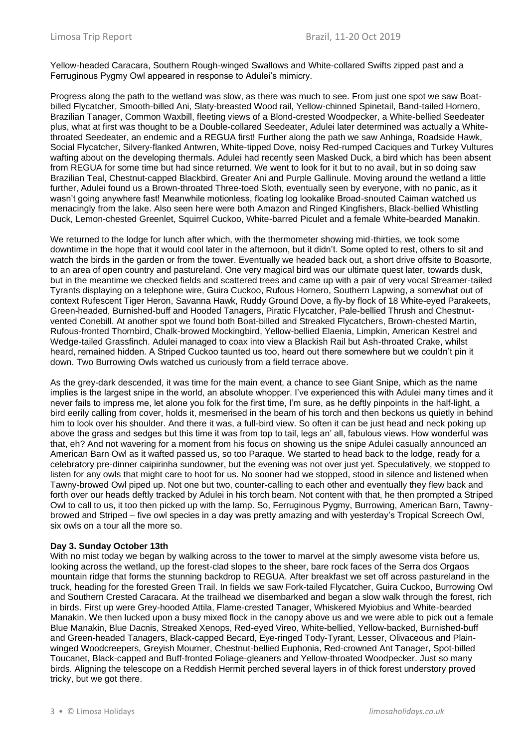Yellow-headed Caracara, Southern Rough-winged Swallows and White-collared Swifts zipped past and a Ferruginous Pygmy Owl appeared in response to Adulei's mimicry.

Progress along the path to the wetland was slow, as there was much to see. From just one spot we saw Boatbilled Flycatcher, Smooth-billed Ani, Slaty-breasted Wood rail, Yellow-chinned Spinetail, Band-tailed Hornero, Brazilian Tanager, Common Waxbill, fleeting views of a Blond-crested Woodpecker, a White-bellied Seedeater plus, what at first was thought to be a Double-collared Seedeater, Adulei later determined was actually a Whitethroated Seedeater, an endemic and a REGUA first! Further along the path we saw Anhinga, Roadside Hawk, Social Flycatcher, Silvery-flanked Antwren, White-tipped Dove, noisy Red-rumped Caciques and Turkey Vultures wafting about on the developing thermals. Adulei had recently seen Masked Duck, a bird which has been absent from REGUA for some time but had since returned. We went to look for it but to no avail, but in so doing saw Brazilian Teal, Chestnut-capped Blackbird, Greater Ani and Purple Gallinule. Moving around the wetland a little further, Adulei found us a Brown-throated Three-toed Sloth, eventually seen by everyone, with no panic, as it wasn't going anywhere fast! Meanwhile motionless, floating log lookalike Broad-snouted Caiman watched us menacingly from the lake. Also seen here were both Amazon and Ringed Kingfishers, Black-bellied Whistling Duck, Lemon-chested Greenlet, Squirrel Cuckoo, White-barred Piculet and a female White-bearded Manakin.

We returned to the lodge for lunch after which, with the thermometer showing mid-thirties, we took some downtime in the hope that it would cool later in the afternoon, but it didn't. Some opted to rest, others to sit and watch the birds in the garden or from the tower. Eventually we headed back out, a short drive offsite to Boasorte, to an area of open country and pastureland. One very magical bird was our ultimate quest later, towards dusk, but in the meantime we checked fields and scattered trees and came up with a pair of very vocal Streamer-tailed Tyrants displaying on a telephone wire, Guira Cuckoo, Rufous Hornero, Southern Lapwing, a somewhat out of context Rufescent Tiger Heron, Savanna Hawk, Ruddy Ground Dove, a fly-by flock of 18 White-eyed Parakeets, Green-headed, Burnished-buff and Hooded Tanagers, Piratic Flycatcher, Pale-bellied Thrush and Chestnutvented Conebill. At another spot we found both Boat-billed and Streaked Flycatchers, Brown-chested Martin, Rufous-fronted Thornbird, Chalk-browed Mockingbird, Yellow-bellied Elaenia, Limpkin, American Kestrel and Wedge-tailed Grassfinch. Adulei managed to coax into view a Blackish Rail but Ash-throated Crake, whilst heard, remained hidden. A Striped Cuckoo taunted us too, heard out there somewhere but we couldn't pin it down. Two Burrowing Owls watched us curiously from a field terrace above.

As the grey-dark descended, it was time for the main event, a chance to see Giant Snipe, which as the name implies is the largest snipe in the world, an absolute whopper. I've experienced this with Adulei many times and it never fails to impress me, let alone you folk for the first time, I'm sure, as he deftly pinpoints in the half-light, a bird eerily calling from cover, holds it, mesmerised in the beam of his torch and then beckons us quietly in behind him to look over his shoulder. And there it was, a full-bird view. So often it can be just head and neck poking up above the grass and sedges but this time it was from top to tail, legs an' all, fabulous views. How wonderful was that, eh? And not wavering for a moment from his focus on showing us the snipe Adulei casually announced an American Barn Owl as it wafted passed us, so too Paraque. We started to head back to the lodge, ready for a celebratory pre-dinner caipirinha sundowner, but the evening was not over just yet. Speculatively, we stopped to listen for any owls that might care to hoot for us. No sooner had we stopped, stood in silence and listened when Tawny-browed Owl piped up. Not one but two, counter-calling to each other and eventually they flew back and forth over our heads deftly tracked by Adulei in his torch beam. Not content with that, he then prompted a Striped Owl to call to us, it too then picked up with the lamp. So, Ferruginous Pygmy, Burrowing, American Barn, Tawnybrowed and Striped – five owl species in a day was pretty amazing and with yesterday's Tropical Screech Owl, six owls on a tour all the more so.

#### **Day 3. Sunday October 13th**

With no mist today we began by walking across to the tower to marvel at the simply awesome vista before us, looking across the wetland, up the forest-clad slopes to the sheer, bare rock faces of the Serra dos Orgaos mountain ridge that forms the stunning backdrop to REGUA. After breakfast we set off across pastureland in the truck, heading for the forested Green Trail. In fields we saw Fork-tailed Flycatcher, Guira Cuckoo, Burrowing Owl and Southern Crested Caracara. At the trailhead we disembarked and began a slow walk through the forest, rich in birds. First up were Grey-hooded Attila, Flame-crested Tanager, Whiskered Myiobius and White-bearded Manakin. We then lucked upon a busy mixed flock in the canopy above us and we were able to pick out a female Blue Manakin, Blue Dacnis, Streaked Xenops, Red-eyed Vireo, White-bellied, Yellow-backed, Burnished-buff and Green-headed Tanagers, Black-capped Becard, Eye-ringed Tody-Tyrant, Lesser, Olivaceous and Plainwinged Woodcreepers, Greyish Mourner, Chestnut-bellied Euphonia, Red-crowned Ant Tanager, Spot-billed Toucanet, Black-capped and Buff-fronted Foliage-gleaners and Yellow-throated Woodpecker. Just so many birds. Aligning the telescope on a Reddish Hermit perched several layers in of thick forest understory proved tricky, but we got there.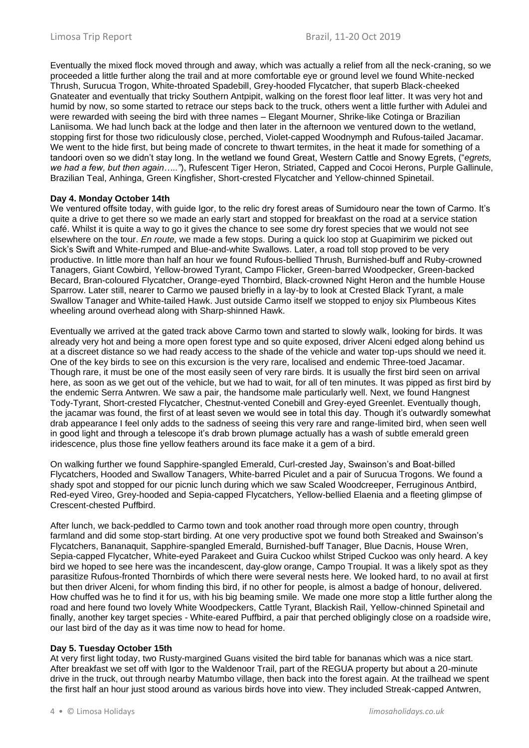Eventually the mixed flock moved through and away, which was actually a relief from all the neck-craning, so we proceeded a little further along the trail and at more comfortable eye or ground level we found White-necked Thrush, Surucua Trogon, White-throated Spadebill, Grey-hooded Flycatcher, that superb Black-cheeked Gnateater and eventually that tricky Southern Antpipit, walking on the forest floor leaf litter. It was very hot and humid by now, so some started to retrace our steps back to the truck, others went a little further with Adulei and were rewarded with seeing the bird with three names – Elegant Mourner, Shrike-like Cotinga or Brazilian Laniisoma. We had lunch back at the lodge and then later in the afternoon we ventured down to the wetland, stopping first for those two ridiculously close, perched, Violet-capped Woodnymph and Rufous-tailed Jacamar. We went to the hide first, but being made of concrete to thwart termites, in the heat it made for something of a tandoori oven so we didn't stay long. In the wetland we found Great, Western Cattle and Snowy Egrets, ("*egrets, we had a few, but then again….."*), Rufescent Tiger Heron, Striated, Capped and Cocoi Herons, Purple Gallinule, Brazilian Teal, Anhinga, Green Kingfisher, Short-crested Flycatcher and Yellow-chinned Spinetail.

# **Day 4. Monday October 14th**

We ventured offsite today, with guide Igor, to the relic dry forest areas of Sumidouro near the town of Carmo. It's quite a drive to get there so we made an early start and stopped for breakfast on the road at a service station café. Whilst it is quite a way to go it gives the chance to see some dry forest species that we would not see elsewhere on the tour. *En route,* we made a few stops. During a quick loo stop at Guapimirim we picked out Sick's Swift and White-rumped and Blue-and-white Swallows. Later, a road toll stop proved to be very productive. In little more than half an hour we found Rufous-bellied Thrush, Burnished-buff and Ruby-crowned Tanagers, Giant Cowbird, Yellow-browed Tyrant, Campo Flicker, Green-barred Woodpecker, Green-backed Becard, Bran-coloured Flycatcher, Orange-eyed Thornbird, Black-crowned Night Heron and the humble House Sparrow. Later still, nearer to Carmo we paused briefly in a lay-by to look at Crested Black Tyrant, a male Swallow Tanager and White-tailed Hawk. Just outside Carmo itself we stopped to enjoy six Plumbeous Kites wheeling around overhead along with Sharp-shinned Hawk.

Eventually we arrived at the gated track above Carmo town and started to slowly walk, looking for birds. It was already very hot and being a more open forest type and so quite exposed, driver Alceni edged along behind us at a discreet distance so we had ready access to the shade of the vehicle and water top-ups should we need it. One of the key birds to see on this excursion is the very rare, localised and endemic Three-toed Jacamar. Though rare, it must be one of the most easily seen of very rare birds. It is usually the first bird seen on arrival here, as soon as we get out of the vehicle, but we had to wait, for all of ten minutes. It was pipped as first bird by the endemic Serra Antwren. We saw a pair, the handsome male particularly well. Next, we found Hangnest Tody-Tyrant, Short-crested Flycatcher, Chestnut-vented Conebill and Grey-eyed Greenlet. Eventually though, the jacamar was found, the first of at least seven we would see in total this day. Though it's outwardly somewhat drab appearance I feel only adds to the sadness of seeing this very rare and range-limited bird, when seen well in good light and through a telescope it's drab brown plumage actually has a wash of subtle emerald green iridescence, plus those fine yellow feathers around its face make it a gem of a bird.

On walking further we found Sapphire-spangled Emerald, Curl-crested Jay, Swainson's and Boat-billed Flycatchers, Hooded and Swallow Tanagers, White-barred Piculet and a pair of Surucua Trogons. We found a shady spot and stopped for our picnic lunch during which we saw Scaled Woodcreeper, Ferruginous Antbird, Red-eyed Vireo, Grey-hooded and Sepia-capped Flycatchers, Yellow-bellied Elaenia and a fleeting glimpse of Crescent-chested Puffbird.

After lunch, we back-peddled to Carmo town and took another road through more open country, through farmland and did some stop-start birding. At one very productive spot we found both Streaked and Swainson's Flycatchers, Bananaquit, Sapphire-spangled Emerald, Burnished-buff Tanager, Blue Dacnis, House Wren, Sepia-capped Flycatcher, White-eyed Parakeet and Guira Cuckoo whilst Striped Cuckoo was only heard. A key bird we hoped to see here was the incandescent, day-glow orange, Campo Troupial. It was a likely spot as they parasitize Rufous-fronted Thornbirds of which there were several nests here. We looked hard, to no avail at first but then driver Alceni, for whom finding this bird, if no other for people, is almost a badge of honour, delivered. How chuffed was he to find it for us, with his big beaming smile. We made one more stop a little further along the road and here found two lovely White Woodpeckers, Cattle Tyrant, Blackish Rail, Yellow-chinned Spinetail and finally, another key target species - White-eared Puffbird, a pair that perched obligingly close on a roadside wire, our last bird of the day as it was time now to head for home.

#### **Day 5. Tuesday October 15th**

At very first light today, two Rusty-margined Guans visited the bird table for bananas which was a nice start. After breakfast we set off with Igor to the Waldenoor Trail, part of the REGUA property but about a 20-minute drive in the truck, out through nearby Matumbo village, then back into the forest again. At the trailhead we spent the first half an hour just stood around as various birds hove into view. They included Streak-capped Antwren,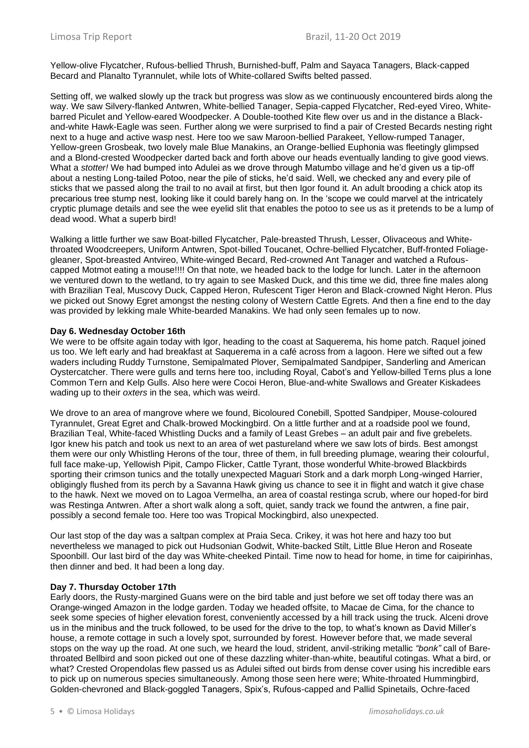Yellow-olive Flycatcher, Rufous-bellied Thrush, Burnished-buff, Palm and Sayaca Tanagers, Black-capped Becard and Planalto Tyrannulet, while lots of White-collared Swifts belted passed.

Setting off, we walked slowly up the track but progress was slow as we continuously encountered birds along the way. We saw Silvery-flanked Antwren, White-bellied Tanager, Sepia-capped Flycatcher, Red-eyed Vireo, Whitebarred Piculet and Yellow-eared Woodpecker. A Double-toothed Kite flew over us and in the distance a Blackand-white Hawk-Eagle was seen. Further along we were surprised to find a pair of Crested Becards nesting right next to a huge and active wasp nest. Here too we saw Maroon-bellied Parakeet, Yellow-rumped Tanager, Yellow-green Grosbeak, two lovely male Blue Manakins, an Orange-bellied Euphonia was fleetingly glimpsed and a Blond-crested Woodpecker darted back and forth above our heads eventually landing to give good views. What a *stotter!* We had bumped into Adulei as we drove through Matumbo village and he'd given us a tip-off about a nesting Long-tailed Potoo, near the pile of sticks, he'd said. Well, we checked any and every pile of sticks that we passed along the trail to no avail at first, but then Igor found it. An adult brooding a chick atop its precarious tree stump nest, looking like it could barely hang on. In the 'scope we could marvel at the intricately cryptic plumage details and see the wee eyelid slit that enables the potoo to see us as it pretends to be a lump of dead wood. What a superb bird!

Walking a little further we saw Boat-billed Flycatcher, Pale-breasted Thrush, Lesser, Olivaceous and Whitethroated Woodcreepers, Uniform Antwren, Spot-billed Toucanet, Ochre-bellied Flycatcher, Buff-fronted Foliagegleaner, Spot-breasted Antvireo, White-winged Becard, Red-crowned Ant Tanager and watched a Rufouscapped Motmot eating a mouse!!!! On that note, we headed back to the lodge for lunch. Later in the afternoon we ventured down to the wetland, to try again to see Masked Duck, and this time we did, three fine males along with Brazilian Teal, Muscovy Duck, Capped Heron, Rufescent Tiger Heron and Black-crowned Night Heron. Plus we picked out Snowy Egret amongst the nesting colony of Western Cattle Egrets. And then a fine end to the day was provided by lekking male White-bearded Manakins. We had only seen females up to now.

#### **Day 6. Wednesday October 16th**

We were to be offsite again today with Igor, heading to the coast at Saquerema, his home patch. Raquel joined us too. We left early and had breakfast at Saquerema in a café across from a lagoon. Here we sifted out a few waders including Ruddy Turnstone, Semipalmated Plover, Semipalmated Sandpiper, Sanderling and American Oystercatcher. There were gulls and terns here too, including Royal, Cabot's and Yellow-billed Terns plus a lone Common Tern and Kelp Gulls. Also here were Cocoi Heron, Blue-and-white Swallows and Greater Kiskadees wading up to their *oxters* in the sea, which was weird.

We drove to an area of mangrove where we found, Bicoloured Conebill, Spotted Sandpiper, Mouse-coloured Tyrannulet, Great Egret and Chalk-browed Mockingbird. On a little further and at a roadside pool we found, Brazilian Teal, White-faced Whistling Ducks and a family of Least Grebes – an adult pair and five grebelets. Igor knew his patch and took us next to an area of wet pastureland where we saw lots of birds. Best amongst them were our only Whistling Herons of the tour, three of them, in full breeding plumage, wearing their colourful, full face make-up, Yellowish Pipit, Campo Flicker, Cattle Tyrant, those wonderful White-browed Blackbirds sporting their crimson tunics and the totally unexpected Maguari Stork and a dark morph Long-winged Harrier, obligingly flushed from its perch by a Savanna Hawk giving us chance to see it in flight and watch it give chase to the hawk. Next we moved on to Lagoa Vermelha, an area of coastal restinga scrub, where our hoped-for bird was Restinga Antwren. After a short walk along a soft, quiet, sandy track we found the antwren, a fine pair, possibly a second female too. Here too was Tropical Mockingbird, also unexpected.

Our last stop of the day was a saltpan complex at Praia Seca. Crikey, it was hot here and hazy too but nevertheless we managed to pick out Hudsonian Godwit, White-backed Stilt, Little Blue Heron and Roseate Spoonbill. Our last bird of the day was White-cheeked Pintail. Time now to head for home, in time for caipirinhas, then dinner and bed. It had been a long day.

# **Day 7. Thursday October 17th**

Early doors, the Rusty-margined Guans were on the bird table and just before we set off today there was an Orange-winged Amazon in the lodge garden. Today we headed offsite, to Macae de Cima, for the chance to seek some species of higher elevation forest, conveniently accessed by a hill track using the truck. Alceni drove us in the minibus and the truck followed, to be used for the drive to the top, to what's known as David Miller's house, a remote cottage in such a lovely spot, surrounded by forest. However before that, we made several stops on the way up the road. At one such, we heard the loud, strident, anvil-striking metallic *"bonk"* call of Barethroated Bellbird and soon picked out one of these dazzling whiter-than-white, beautiful cotingas. What a bird, or what? Crested Oropendolas flew passed us as Adulei sifted out birds from dense cover using his incredible ears to pick up on numerous species simultaneously. Among those seen here were; White-throated Hummingbird, Golden-chevroned and Black-goggled Tanagers, Spix's, Rufous-capped and Pallid Spinetails, Ochre-faced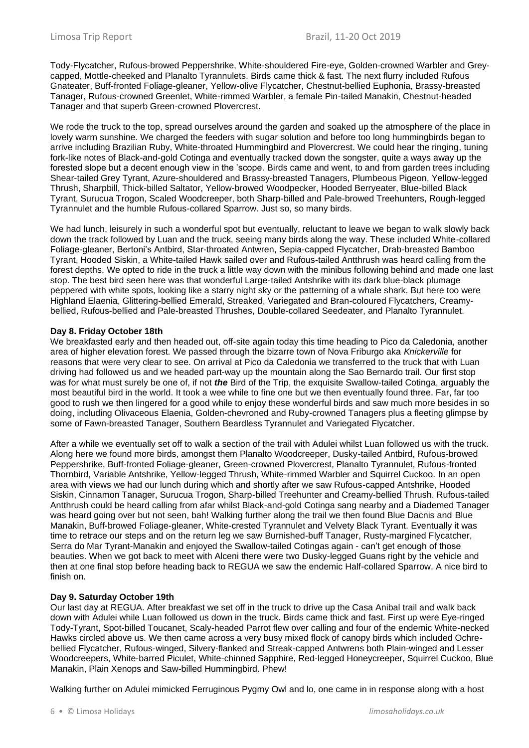Tody-Flycatcher, Rufous-browed Peppershrike, White-shouldered Fire-eye, Golden-crowned Warbler and Greycapped, Mottle-cheeked and Planalto Tyrannulets. Birds came thick & fast. The next flurry included Rufous Gnateater, Buff-fronted Foliage-gleaner, Yellow-olive Flycatcher, Chestnut-bellied Euphonia, Brassy-breasted Tanager, Rufous-crowned Greenlet, White-rimmed Warbler, a female Pin-tailed Manakin, Chestnut-headed Tanager and that superb Green-crowned Plovercrest.

We rode the truck to the top, spread ourselves around the garden and soaked up the atmosphere of the place in lovely warm sunshine. We charged the feeders with sugar solution and before too long hummingbirds began to arrive including Brazilian Ruby, White-throated Hummingbird and Plovercrest. We could hear the ringing, tuning fork-like notes of Black-and-gold Cotinga and eventually tracked down the songster, quite a ways away up the forested slope but a decent enough view in the 'scope. Birds came and went, to and from garden trees including Shear-tailed Grey Tyrant, Azure-shouldered and Brassy-breasted Tanagers, Plumbeous Pigeon, Yellow-legged Thrush, Sharpbill, Thick-billed Saltator, Yellow-browed Woodpecker, Hooded Berryeater, Blue-billed Black Tyrant, Surucua Trogon, Scaled Woodcreeper, both Sharp-billed and Pale-browed Treehunters, Rough-legged Tyrannulet and the humble Rufous-collared Sparrow. Just so, so many birds.

We had lunch, leisurely in such a wonderful spot but eventually, reluctant to leave we began to walk slowly back down the track followed by Luan and the truck, seeing many birds along the way. These included White-collared Foliage-gleaner, Bertoni's Antbird, Star-throated Antwren, Sepia-capped Flycatcher, Drab-breasted Bamboo Tyrant, Hooded Siskin, a White-tailed Hawk sailed over and Rufous-tailed Antthrush was heard calling from the forest depths. We opted to ride in the truck a little way down with the minibus following behind and made one last stop. The best bird seen here was that wonderful Large-tailed Antshrike with its dark blue-black plumage peppered with white spots, looking like a starry night sky or the patterning of a whale shark. But here too were Highland Elaenia, Glittering-bellied Emerald, Streaked, Variegated and Bran-coloured Flycatchers, Creamybellied, Rufous-bellied and Pale-breasted Thrushes, Double-collared Seedeater, and Planalto Tyrannulet.

# **Day 8. Friday October 18th**

We breakfasted early and then headed out, off-site again today this time heading to Pico da Caledonia, another area of higher elevation forest. We passed through the bizarre town of Nova Friburgo aka *Knickerville* for reasons that were very clear to see. On arrival at Pico da Caledonia we transferred to the truck that with Luan driving had followed us and we headed part-way up the mountain along the Sao Bernardo trail. Our first stop was for what must surely be one of, if not *the* Bird of the Trip, the exquisite Swallow-tailed Cotinga, arguably the most beautiful bird in the world. It took a wee while to fine one but we then eventually found three. Far, far too good to rush we then lingered for a good while to enjoy these wonderful birds and saw much more besides in so doing, including Olivaceous Elaenia, Golden-chevroned and Ruby-crowned Tanagers plus a fleeting glimpse by some of Fawn-breasted Tanager, Southern Beardless Tyrannulet and Variegated Flycatcher.

After a while we eventually set off to walk a section of the trail with Adulei whilst Luan followed us with the truck. Along here we found more birds, amongst them Planalto Woodcreeper, Dusky-tailed Antbird, Rufous-browed Peppershrike, Buff-fronted Foliage-gleaner, Green-crowned Plovercrest, Planalto Tyrannulet, Rufous-fronted Thornbird, Variable Antshrike, Yellow-legged Thrush, White-rimmed Warbler and Squirrel Cuckoo. In an open area with views we had our lunch during which and shortly after we saw Rufous-capped Antshrike, Hooded Siskin, Cinnamon Tanager, Surucua Trogon, Sharp-billed Treehunter and Creamy-bellied Thrush. Rufous-tailed Antthrush could be heard calling from afar whilst Black-and-gold Cotinga sang nearby and a Diademed Tanager was heard going over but not seen, bah! Walking further along the trail we then found Blue Dacnis and Blue Manakin, Buff-browed Foliage-gleaner, White-crested Tyrannulet and Velvety Black Tyrant. Eventually it was time to retrace our steps and on the return leg we saw Burnished-buff Tanager, Rusty-margined Flycatcher, Serra do Mar Tyrant-Manakin and enjoyed the Swallow-tailed Cotingas again - can't get enough of those beauties. When we got back to meet with Alceni there were two Dusky-legged Guans right by the vehicle and then at one final stop before heading back to REGUA we saw the endemic Half-collared Sparrow. A nice bird to finish on.

# **Day 9. Saturday October 19th**

Our last day at REGUA. After breakfast we set off in the truck to drive up the Casa Anibal trail and walk back down with Adulei while Luan followed us down in the truck. Birds came thick and fast. First up were Eye-ringed Tody-Tyrant, Spot-billed Toucanet, Scaly-headed Parrot flew over calling and four of the endemic White-necked Hawks circled above us. We then came across a very busy mixed flock of canopy birds which included Ochrebellied Flycatcher, Rufous-winged, Silvery-flanked and Streak-capped Antwrens both Plain-winged and Lesser Woodcreepers, White-barred Piculet, White-chinned Sapphire, Red-legged Honeycreeper, Squirrel Cuckoo, Blue Manakin, Plain Xenops and Saw-billed Hummingbird. Phew!

Walking further on Adulei mimicked Ferruginous Pygmy Owl and lo, one came in in response along with a host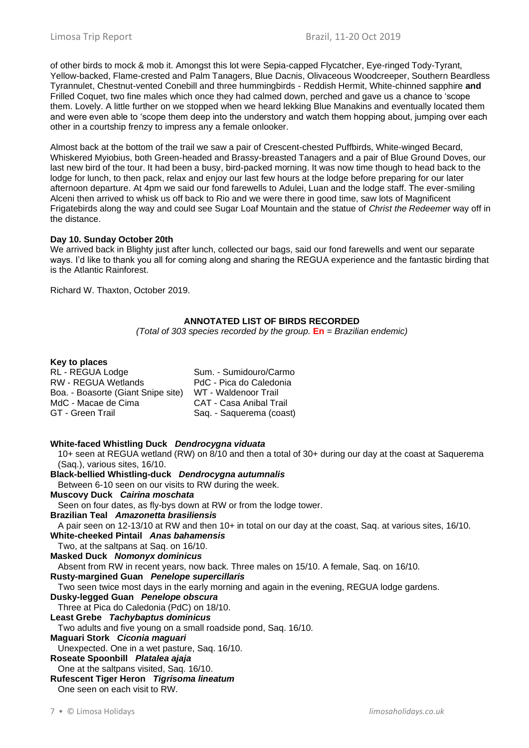of other birds to mock & mob it. Amongst this lot were Sepia-capped Flycatcher, Eye-ringed Tody-Tyrant, Yellow-backed, Flame-crested and Palm Tanagers, Blue Dacnis, Olivaceous Woodcreeper, Southern Beardless Tyrannulet, Chestnut-vented Conebill and three hummingbirds - Reddish Hermit, White-chinned sapphire **and** Frilled Coquet, two fine males which once they had calmed down, perched and gave us a chance to 'scope them. Lovely. A little further on we stopped when we heard lekking Blue Manakins and eventually located them and were even able to 'scope them deep into the understory and watch them hopping about, jumping over each other in a courtship frenzy to impress any a female onlooker.

Almost back at the bottom of the trail we saw a pair of Crescent-chested Puffbirds, White-winged Becard, Whiskered Myiobius, both Green-headed and Brassy-breasted Tanagers and a pair of Blue Ground Doves, our last new bird of the tour. It had been a busy, bird-packed morning. It was now time though to head back to the lodge for lunch, to then pack, relax and enjoy our last few hours at the lodge before preparing for our later afternoon departure. At 4pm we said our fond farewells to Adulei, Luan and the lodge staff. The ever-smiling Alceni then arrived to whisk us off back to Rio and we were there in good time, saw lots of Magnificent Frigatebirds along the way and could see Sugar Loaf Mountain and the statue of *Christ the Redeemer* way off in the distance.

# **Day 10. Sunday October 20th**

We arrived back in Blighty just after lunch, collected our bags, said our fond farewells and went our separate ways. I'd like to thank you all for coming along and sharing the REGUA experience and the fantastic birding that is the Atlantic Rainforest.

Richard W. Thaxton, October 2019.

# **ANNOTATED LIST OF BIRDS RECORDED**

*(Total of 303 species recorded by the group.* **En** *= Brazilian endemic)*

# **Key to places**

| RL - REGUA Lodge                   | Sum. - Sumidouro/Carmo         |
|------------------------------------|--------------------------------|
| <b>RW - REGUA Wetlands</b>         | PdC - Pica do Caledonia        |
| Boa. - Boasorte (Giant Snipe site) | WT - Waldenoor Trail           |
| MdC - Macae de Cima                | <b>CAT - Casa Anibal Trail</b> |
| GT - Green Trail                   | Saq. - Saquerema (coast)       |
|                                    |                                |

#### **White-faced Whistling Duck** *Dendrocygna viduata*

10+ seen at REGUA wetland (RW) on 8/10 and then a total of 30+ during our day at the coast at Saquerema (Saq.), various sites, 16/10.

#### **Black-bellied Whistling-duck** *Dendrocygna autumnalis*

Between 6-10 seen on our visits to RW during the week.

#### **Muscovy Duck** *Cairina moschata*

Seen on four dates, as fly-bys down at RW or from the lodge tower.

**Brazilian Teal** *Amazonetta brasiliensis*

A pair seen on 12-13/10 at RW and then 10+ in total on our day at the coast, Saq. at various sites, 16/10. **White-cheeked Pintail** *Anas bahamensis*

# Two, at the saltpans at Saq. on 16/10.

**Masked Duck** *Nomonyx dominicus*

Absent from RW in recent years, now back. Three males on 15/10. A female, Saq. on 16/10.

#### **Rusty-margined Guan** *Penelope supercillaris*

Two seen twice most days in the early morning and again in the evening, REGUA lodge gardens.

**Dusky-legged Guan** *Penelope obscura*

Three at Pica do Caledonia (PdC) on 18/10.

# **Least Grebe** *Tachybaptus dominicus*

Two adults and five young on a small roadside pond, Saq. 16/10.

#### **Maguari Stork** *Ciconia maguari*

Unexpected. One in a wet pasture, Saq. 16/10.

- **Roseate Spoonbill** *Platalea ajaja*
- One at the saltpans visited, Saq. 16/10.

#### **Rufescent Tiger Heron** *Tigrisoma lineatum*

One seen on each visit to RW.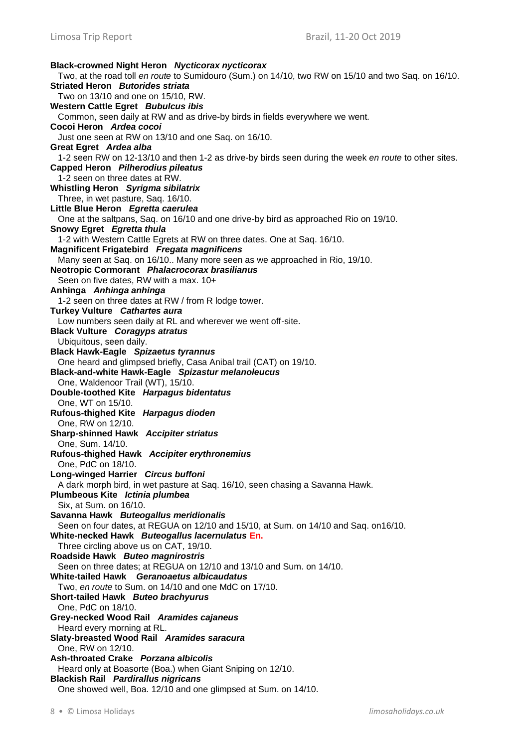**Black-crowned Night Heron** *Nycticorax nycticorax* Two, at the road toll *en route* to Sumidouro (Sum.) on 14/10, two RW on 15/10 and two Saq. on 16/10. **Striated Heron** *Butorides striata* Two on 13/10 and one on 15/10, RW. **Western Cattle Egret** *Bubulcus ibis* Common, seen daily at RW and as drive-by birds in fields everywhere we went. **Cocoi Heron** *Ardea cocoi* Just one seen at RW on 13/10 and one Saq. on 16/10. **Great Egret** *Ardea alba* 1-2 seen RW on 12-13/10 and then 1-2 as drive-by birds seen during the week *en route* to other sites. **Capped Heron** *Pilherodius pileatus* 1-2 seen on three dates at RW. **Whistling Heron** *Syrigma sibilatrix* Three, in wet pasture, Saq. 16/10. **Little Blue Heron** *Egretta caerulea* One at the saltpans, Saq. on 16/10 and one drive-by bird as approached Rio on 19/10. **Snowy Egret** *Egretta thula* 1-2 with Western Cattle Egrets at RW on three dates. One at Saq. 16/10. **Magnificent Frigatebird** *Fregata magnificens* Many seen at Saq. on 16/10.. Many more seen as we approached in Rio, 19/10. **Neotropic Cormorant** *Phalacrocorax brasilianus* Seen on five dates, RW with a max. 10+ **Anhinga** *Anhinga anhinga* 1-2 seen on three dates at RW / from R lodge tower. **Turkey Vulture** *Cathartes aura* Low numbers seen daily at RL and wherever we went off-site. **Black Vulture** *Coragyps atratus* Ubiquitous, seen daily. **Black Hawk-Eagle** *Spizaetus tyrannus* One heard and glimpsed briefly, Casa Anibal trail (CAT) on 19/10. **Black-and-white Hawk-Eagle** *Spizastur melanoleucus* One, Waldenoor Trail (WT), 15/10. **Double-toothed Kite** *Harpagus bidentatus* One, WT on 15/10. **Rufous-thighed Kite** *Harpagus dioden* One, RW on 12/10. **Sharp-shinned Hawk** *Accipiter striatus* One, Sum. 14/10. **Rufous-thighed Hawk** *Accipiter erythronemius* One, PdC on 18/10. **Long-winged Harrier** *Circus buffoni* A dark morph bird, in wet pasture at Saq. 16/10, seen chasing a Savanna Hawk. **Plumbeous Kite** *Ictinia plumbea* Six, at Sum. on 16/10. **Savanna Hawk** *Buteogallus meridionalis* Seen on four dates, at REGUA on 12/10 and 15/10, at Sum. on 14/10 and Saq. on16/10. **White-necked Hawk** *Buteogallus lacernulatus* **En.** Three circling above us on CAT, 19/10. **Roadside Hawk** *Buteo magnirostris* Seen on three dates; at REGUA on 12/10 and 13/10 and Sum. on 14/10. **White-tailed Hawk** *Geranoaetus albicaudatus* Two, *en route* to Sum. on 14/10 and one MdC on 17/10. **Short-tailed Hawk** *Buteo brachyurus* One, PdC on 18/10. **Grey-necked Wood Rail** *Aramides cajaneus* Heard every morning at RL. **Slaty-breasted Wood Rail** *Aramides saracura* One, RW on 12/10. **Ash-throated Crake** *Porzana albicolis* Heard only at Boasorte (Boa.) when Giant Sniping on 12/10. **Blackish Rail** *Pardirallus nigricans* One showed well, Boa. 12/10 and one glimpsed at Sum. on 14/10.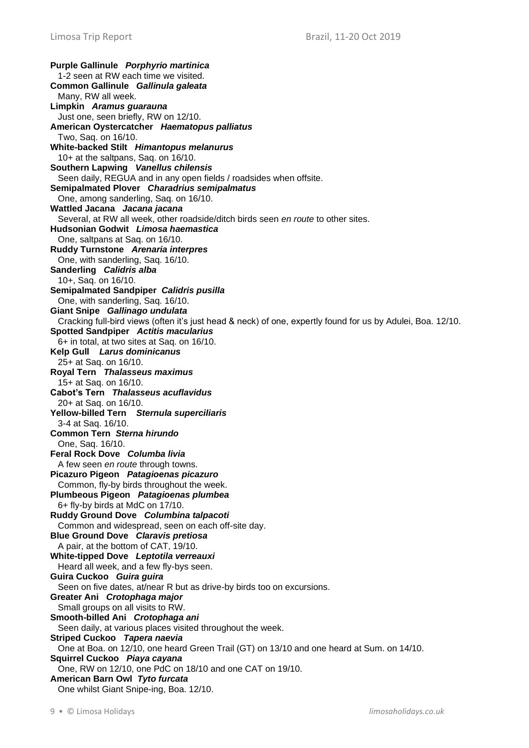**Purple Gallinule** *Porphyrio martinica* 1-2 seen at RW each time we visited. **Common Gallinule** *Gallinula galeata* Many, RW all week. **Limpkin** *Aramus guarauna* Just one, seen briefly, RW on 12/10. **American Oystercatcher** *Haematopus palliatus* Two, Saq. on 16/10. **White-backed Stilt** *Himantopus melanurus* 10+ at the saltpans, Saq. on 16/10. **Southern Lapwing** *Vanellus chilensis* Seen daily, REGUA and in any open fields / roadsides when offsite. **Semipalmated Plover** *Charadrius semipalmatus* One, among sanderling, Saq. on 16/10. **Wattled Jacana** *Jacana jacana* Several, at RW all week, other roadside/ditch birds seen *en route* to other sites. **Hudsonian Godwit** *Limosa haemastica* One, saltpans at Saq. on 16/10. **Ruddy Turnstone** *Arenaria interpres* One, with sanderling, Saq. 16/10. **Sanderling** *Calidris alba* 10+, Saq. on 16/10. **Semipalmated Sandpiper** *Calidris pusilla* One, with sanderling, Saq. 16/10. **Giant Snipe** *Gallinago undulata* Cracking full-bird views (often it's just head & neck) of one, expertly found for us by Adulei, Boa. 12/10. **Spotted Sandpiper** *Actitis macularius* 6+ in total, at two sites at Saq. on 16/10. **Kelp Gull** *Larus dominicanus* 25+ at Saq. on 16/10. **Royal Tern** *Thalasseus maximus* 15+ at Saq. on 16/10. **Cabot's Tern** *Thalasseus acuflavidus* 20+ at Saq. on 16/10. **Yellow-billed Tern** *Sternula superciliaris* 3-4 at Saq. 16/10. **Common Tern** *Sterna hirundo* One, Saq. 16/10. **Feral Rock Dove** *Columba livia* A few seen *en route* through towns. **Picazuro Pigeon** *Patagioenas picazuro* Common, fly-by birds throughout the week. **Plumbeous Pigeon** *Patagioenas plumbea* 6+ fly-by birds at MdC on 17/10. **Ruddy Ground Dove** *Columbina talpacoti* Common and widespread, seen on each off-site day. **Blue Ground Dove** *Claravis pretiosa* A pair, at the bottom of CAT, 19/10. **White-tipped Dove** *Leptotila verreauxi* Heard all week, and a few fly-bys seen. **Guira Cuckoo** *Guira guira* Seen on five dates, at/near R but as drive-by birds too on excursions. **Greater Ani** *Crotophaga major* Small groups on all visits to RW. **Smooth-billed Ani** *Crotophaga ani* Seen daily, at various places visited throughout the week. **Striped Cuckoo** *Tapera naevia* One at Boa. on 12/10, one heard Green Trail (GT) on 13/10 and one heard at Sum. on 14/10. **Squirrel Cuckoo** *Piaya cayana* One, RW on 12/10, one PdC on 18/10 and one CAT on 19/10. **American Barn Owl** *Tyto furcata* One whilst Giant Snipe-ing, Boa. 12/10.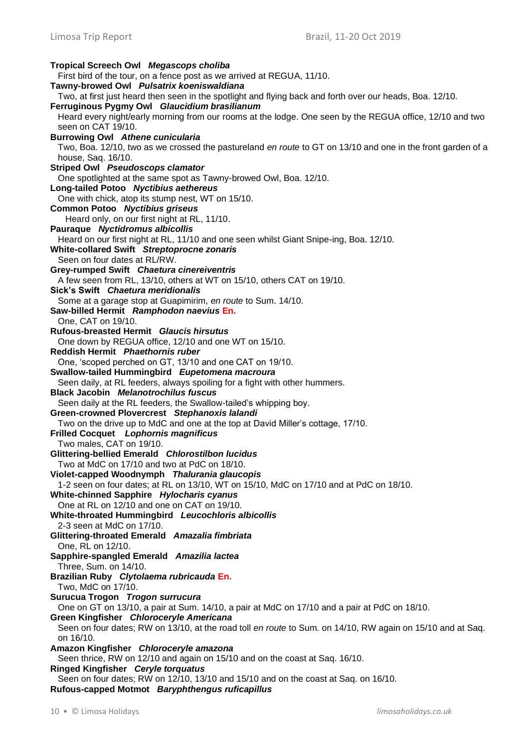**Tropical Screech Owl** *Megascops choliba* First bird of the tour, on a fence post as we arrived at REGUA, 11/10. **Tawny-browed Owl** *Pulsatrix koeniswaldiana* Two, at first just heard then seen in the spotlight and flying back and forth over our heads, Boa. 12/10. **Ferruginous Pygmy Owl** *Glaucidium brasilianum* Heard every night/early morning from our rooms at the lodge. One seen by the REGUA office, 12/10 and two seen on CAT 19/10. **Burrowing Owl** *Athene cunicularia* Two, Boa. 12/10, two as we crossed the pastureland *en route* to GT on 13/10 and one in the front garden of a house, Saq. 16/10. **Striped Owl** *Pseudoscops clamator* One spotlighted at the same spot as Tawny-browed Owl, Boa. 12/10. **Long-tailed Potoo** *Nyctibius aethereus* One with chick, atop its stump nest, WT on 15/10. **Common Potoo** *Nyctibius griseus* Heard only, on our first night at RL, 11/10. **Pauraque** *Nyctidromus albicollis* Heard on our first night at RL, 11/10 and one seen whilst Giant Snipe-ing, Boa. 12/10. **White-collared Swift** *Streptoprocne zonaris* Seen on four dates at RL/RW. **Grey-rumped Swift** *Chaetura cinereiventris* A few seen from RL, 13/10, others at WT on 15/10, others CAT on 19/10. **Sick's Swift** *Chaetura meridionalis* Some at a garage stop at Guapimirim, *en route* to Sum. 14/10. **Saw-billed Hermit** *Ramphodon naevius* **En.** One, CAT on 19/10. **Rufous-breasted Hermit** *Glaucis hirsutus* One down by REGUA office, 12/10 and one WT on 15/10. **Reddish Hermit** *Phaethornis ruber* One, 'scoped perched on GT, 13/10 and one CAT on 19/10. **Swallow-tailed Hummingbird** *Eupetomena macroura* Seen daily, at RL feeders, always spoiling for a fight with other hummers. **Black Jacobin** *Melanotrochilus fuscus* Seen daily at the RL feeders, the Swallow-tailed's whipping boy. **Green-crowned Plovercrest** *Stephanoxis lalandi* Two on the drive up to MdC and one at the top at David Miller's cottage, 17/10. **Frilled Cocquet** *Lophornis magnificus* Two males, CAT on 19/10. **Glittering-bellied Emerald** *Chlorostilbon lucidus* Two at MdC on 17/10 and two at PdC on 18/10. **Violet-capped Woodnymph** *Thalurania glaucopis* 1-2 seen on four dates; at RL on 13/10, WT on 15/10, MdC on 17/10 and at PdC on 18/10. **White-chinned Sapphire** *Hylocharis cyanus* One at RL on 12/10 and one on CAT on 19/10. **White-throated Hummingbird** *Leucochloris albicollis* 2-3 seen at MdC on 17/10. **Glittering-throated Emerald** *Amazalia fimbriata* One, RL on 12/10. **Sapphire-spangled Emerald** *Amazilia lactea* Three, Sum. on 14/10. **Brazilian Ruby** *Clytolaema rubricauda* **En.** Two, MdC on 17/10. **Surucua Trogon** *Trogon surrucura* One on GT on 13/10, a pair at Sum. 14/10, a pair at MdC on 17/10 and a pair at PdC on 18/10. **Green Kingfisher** *Chloroceryle Americana* Seen on four dates; RW on 13/10, at the road toll *en route* to Sum. on 14/10, RW again on 15/10 and at Saq. on 16/10. **Amazon Kingfisher** *Chloroceryle amazona* Seen thrice, RW on 12/10 and again on 15/10 and on the coast at Saq. 16/10. **Ringed Kingfisher** *Ceryle torquatus* Seen on four dates; RW on 12/10, 13/10 and 15/10 and on the coast at Saq. on 16/10. **Rufous-capped Motmot** *Baryphthengus ruficapillus*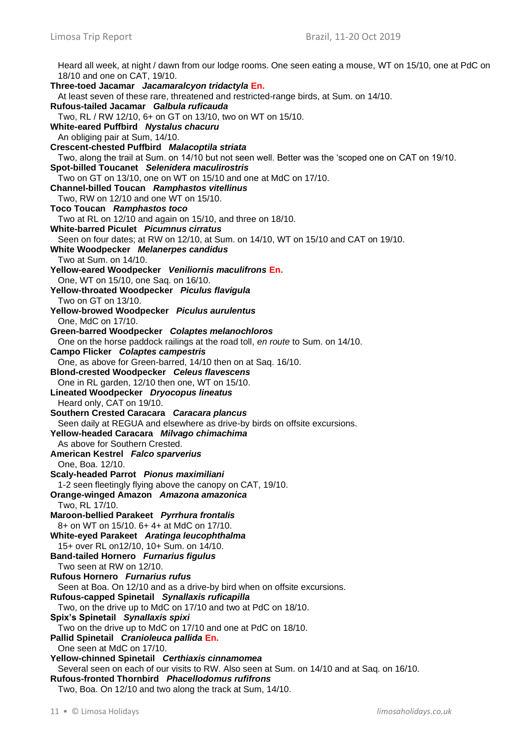Heard all week, at night / dawn from our lodge rooms. One seen eating a mouse, WT on 15/10, one at PdC on 18/10 and one on CAT, 19/10. **Three-toed Jacamar** *Jacamaralcyon tridactyla* **En.** At least seven of these rare, threatened and restricted-range birds, at Sum. on 14/10. **Rufous-tailed Jacamar** *Galbula ruficauda* Two, RL / RW 12/10, 6+ on GT on 13/10, two on WT on 15/10. **White-eared Puffbird** *Nystalus chacuru* An obliging pair at Sum, 14/10. **Crescent-chested Puffbird** *Malacoptila striata* Two, along the trail at Sum. on 14/10 but not seen well. Better was the 'scoped one on CAT on 19/10. **Spot-billed Toucanet** *Selenidera maculirostris* Two on GT on 13/10, one on WT on 15/10 and one at MdC on 17/10. **Channel-billed Toucan** *Ramphastos vitellinus* Two, RW on 12/10 and one WT on 15/10. **Toco Toucan** *Ramphastos toco* Two at RL on 12/10 and again on 15/10, and three on 18/10. **White-barred Piculet** *Picumnus cirratus* Seen on four dates; at RW on 12/10, at Sum. on 14/10, WT on 15/10 and CAT on 19/10. **White Woodpecker** *Melanerpes candidus* Two at Sum. on 14/10. **Yellow-eared Woodpecker** *Veniliornis maculifrons* **En.** One, WT on 15/10, one Saq. on 16/10. **Yellow-throated Woodpecker** *Piculus flavigula* Two on GT on 13/10. **Yellow-browed Woodpecker** *Piculus aurulentus* One, MdC on 17/10. **Green-barred Woodpecker** *Colaptes melanochloros* One on the horse paddock railings at the road toll, *en route* to Sum. on 14/10. **Campo Flicker** *Colaptes campestris* One, as above for Green-barred, 14/10 then on at Saq. 16/10. **Blond-crested Woodpecker** *Celeus flavescens* One in RL garden, 12/10 then one, WT on 15/10. **Lineated Woodpecker** *Dryocopus lineatus* Heard only, CAT on 19/10. **Southern Crested Caracara** *Caracara plancus* Seen daily at REGUA and elsewhere as drive-by birds on offsite excursions. **Yellow-headed Caracara** *Milvago chimachima* As above for Southern Crested. **American Kestrel** *Falco sparverius* One, Boa. 12/10. **Scaly-headed Parrot** *Pionus maximiliani* 1-2 seen fleetingly flying above the canopy on CAT, 19/10. **Orange-winged Amazon** *Amazona amazonica* Two, RL 17/10. **Maroon-bellied Parakeet** *Pyrrhura frontalis* 8+ on WT on 15/10. 6+ 4+ at MdC on 17/10. **White-eyed Parakeet** *Aratinga leucophthalma* 15+ over RL on12/10, 10+ Sum. on 14/10. **Band-tailed Hornero** *Furnarius figulus* Two seen at RW on 12/10. **Rufous Hornero** *Furnarius rufus* Seen at Boa. On 12/10 and as a drive-by bird when on offsite excursions. **Rufous-capped Spinetail** *Synallaxis ruficapilla* Two, on the drive up to MdC on 17/10 and two at PdC on 18/10. **Spix's Spinetail** *Synallaxis spixi* Two on the drive up to MdC on 17/10 and one at PdC on 18/10. **Pallid Spinetail** *Cranioleuca pallida* **En.** One seen at MdC on 17/10. **Yellow-chinned Spinetail** *Certhiaxis cinnamomea* Several seen on each of our visits to RW. Also seen at Sum. on 14/10 and at Saq. on 16/10. **Rufous-fronted Thornbird** *Phacellodomus rufifrons* Two, Boa. On 12/10 and two along the track at Sum, 14/10.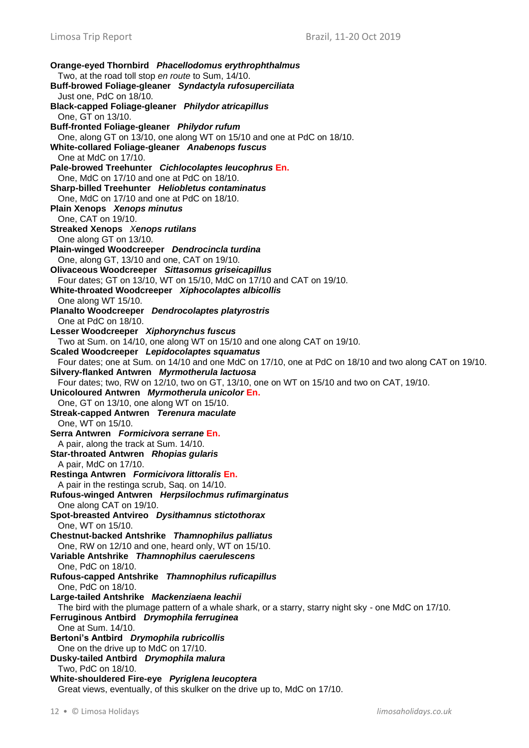**Orange-eyed Thornbird** *Phacellodomus erythrophthalmus* Two, at the road toll stop *en route* to Sum, 14/10. **Buff-browed Foliage-gleaner** *Syndactyla rufosuperciliata* Just one, PdC on 18/10. **Black-capped Foliage-gleaner** *Philydor atricapillus* One, GT on 13/10. **Buff-fronted Foliage-gleaner** *Philydor rufum* One, along GT on 13/10, one along WT on 15/10 and one at PdC on 18/10. **White-collared Foliage-gleaner** *Anabenops fuscus* One at MdC on 17/10. **Pale-browed Treehunter** *Cichlocolaptes leucophrus* **En.** One, MdC on 17/10 and one at PdC on 18/10. **Sharp-billed Treehunter** *Heliobletus contaminatus* One, MdC on 17/10 and one at PdC on 18/10. **Plain Xenops** *Xenops minutus* One, CAT on 19/10. **Streaked Xenops** *Xenops rutilans* One along GT on 13/10. **Plain-winged Woodcreeper** *Dendrocincla turdina* One, along GT, 13/10 and one, CAT on 19/10. **Olivaceous Woodcreeper** *Sittasomus griseicapillus* Four dates; GT on 13/10, WT on 15/10, MdC on 17/10 and CAT on 19/10. **White-throated Woodcreeper** *Xiphocolaptes albicollis* One along WT 15/10. **Planalto Woodcreeper** *Dendrocolaptes platyrostris* One at PdC on 18/10. **Lesser Woodcreeper** *Xiphorynchus fuscus* Two at Sum. on 14/10, one along WT on 15/10 and one along CAT on 19/10. **Scaled Woodcreeper** *Lepidocolaptes squamatus* Four dates; one at Sum. on 14/10 and one MdC on 17/10, one at PdC on 18/10 and two along CAT on 19/10. **Silvery-flanked Antwren** *Myrmotherula lactuosa* Four dates; two, RW on 12/10, two on GT, 13/10, one on WT on 15/10 and two on CAT, 19/10. **Unicoloured Antwren** *Myrmotherula unicolor* **En.** One, GT on 13/10, one along WT on 15/10. **Streak-capped Antwren** *Terenura maculate* One, WT on 15/10. **Serra Antwren** *Formicivora serrane* **En.** A pair, along the track at Sum. 14/10. **Star-throated Antwren** *Rhopias gularis* A pair, MdC on 17/10. **Restinga Antwren** *Formicivora littoralis* **En.** A pair in the restinga scrub, Saq. on 14/10. **Rufous-winged Antwren** *Herpsilochmus rufimarginatus* One along CAT on 19/10. **Spot-breasted Antvireo** *Dysithamnus stictothorax* One, WT on 15/10. **Chestnut-backed Antshrike** *Thamnophilus palliatus* One, RW on 12/10 and one, heard only, WT on 15/10. **Variable Antshrike** *Thamnophilus caerulescens* One, PdC on 18/10. **Rufous-capped Antshrike** *Thamnophilus ruficapillus* One, PdC on 18/10. **Large-tailed Antshrike** *Mackenziaena leachii* The bird with the plumage pattern of a whale shark, or a starry, starry night sky - one MdC on 17/10. **Ferruginous Antbird** *Drymophila ferruginea* One at Sum. 14/10. **Bertoni's Antbird** *Drymophila rubricollis* One on the drive up to MdC on 17/10. **Dusky-tailed Antbird** *Drymophila malura* Two, PdC on 18/10. **White-shouldered Fire-eye** *Pyriglena leucoptera* Great views, eventually, of this skulker on the drive up to, MdC on 17/10.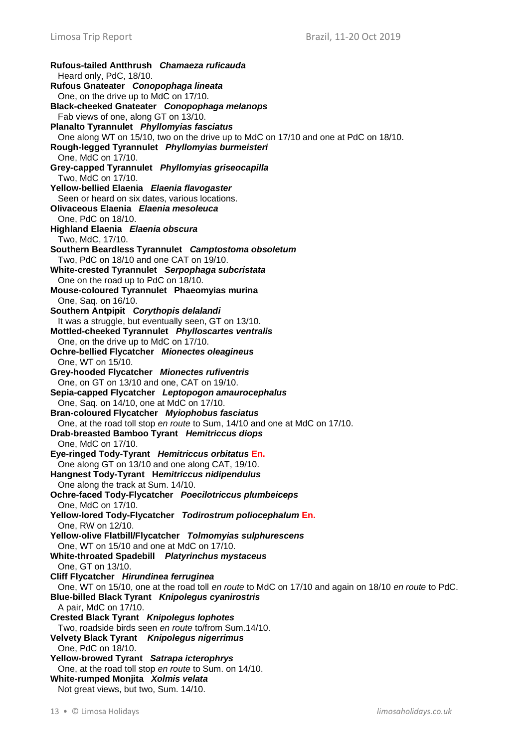**Rufous-tailed Antthrush** *Chamaeza ruficauda* Heard only, PdC, 18/10. **Rufous Gnateater** *Conopophaga lineata* One, on the drive up to MdC on 17/10. **Black-cheeked Gnateater** *Conopophaga melanops* Fab views of one, along GT on 13/10. **Planalto Tyrannulet** *Phyllomyias fasciatus* One along WT on 15/10, two on the drive up to MdC on 17/10 and one at PdC on 18/10. **Rough-legged Tyrannulet** *Phyllomyias burmeisteri* One, MdC on 17/10. **Grey-capped Tyrannulet** *Phyllomyias griseocapilla* Two, MdC on 17/10. **Yellow-bellied Elaenia** *Elaenia flavogaster* Seen or heard on six dates, various locations. **Olivaceous Elaenia** *Elaenia mesoleuca* One, PdC on 18/10. **Highland Elaenia** *Elaenia obscura* Two, MdC, 17/10. **Southern Beardless Tyrannulet** *Camptostoma obsoletum* Two, PdC on 18/10 and one CAT on 19/10. **White-crested Tyrannulet** *Serpophaga subcristata* One on the road up to PdC on 18/10. **Mouse-coloured Tyrannulet Phaeomyias murina** One, Saq. on 16/10. **Southern Antpipit** *Corythopis delalandi* It was a struggle, but eventually seen, GT on 13/10. **Mottled-cheeked Tyrannulet** *Phylloscartes ventralis* One, on the drive up to MdC on 17/10. **Ochre-bellied Flycatcher** *Mionectes oleagineus* One, WT on 15/10. **Grey-hooded Flycatcher** *Mionectes rufiventris* One, on GT on 13/10 and one, CAT on 19/10. **Sepia-capped Flycatcher** *Leptopogon amaurocephalus* One, Saq. on 14/10, one at MdC on 17/10. **Bran-coloured Flycatcher** *Myiophobus fasciatus* One, at the road toll stop *en route* to Sum, 14/10 and one at MdC on 17/10. **Drab-breasted Bamboo Tyrant** *Hemitriccus diops* One, MdC on 17/10. **Eye-ringed Tody-Tyrant** *Hemitriccus orbitatus* **En.** One along GT on 13/10 and one along CAT, 19/10. **Hangnest Tody-Tyrant H***emitriccus nidipendulus* One along the track at Sum. 14/10. **Ochre-faced Tody-Flycatcher** *Poecilotriccus plumbeiceps* One, MdC on 17/10. **Yellow-lored Tody-Flycatcher** *Todirostrum poliocephalum* **En.** One, RW on 12/10. **Yellow-olive Flatbill/Flycatcher** *Tolmomyias sulphurescens* One, WT on 15/10 and one at MdC on 17/10. **White-throated Spadebill** *Platyrinchus mystaceus* One, GT on 13/10. **Cliff Flycatcher** *Hirundinea ferruginea* One, WT on 15/10, one at the road toll *en route* to MdC on 17/10 and again on 18/10 *en route* to PdC. **Blue-billed Black Tyrant** *Knipolegus cyanirostris* A pair, MdC on 17/10. **Crested Black Tyrant** *Knipolegus lophotes* Two, roadside birds seen *en route* to/from Sum.14/10. **Velvety Black Tyrant** *Knipolegus nigerrimus* One, PdC on 18/10. **Yellow-browed Tyrant** *Satrapa icterophrys* One, at the road toll stop *en route* to Sum. on 14/10. **White-rumped Monjita** *Xolmis velata* Not great views, but two, Sum. 14/10.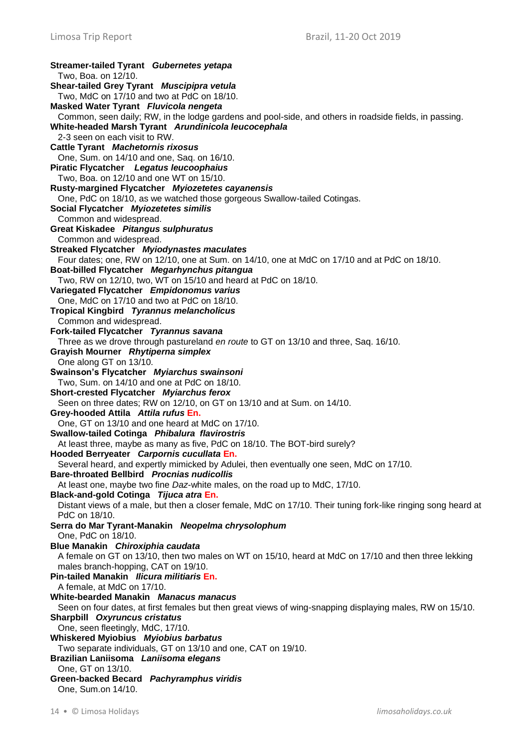**Streamer-tailed Tyrant** *Gubernetes yetapa* Two, Boa. on 12/10. **Shear-tailed Grey Tyrant** *Muscipipra vetula* Two, MdC on 17/10 and two at PdC on 18/10. **Masked Water Tyrant** *Fluvicola nengeta* Common, seen daily; RW, in the lodge gardens and pool-side, and others in roadside fields, in passing. **White-headed Marsh Tyrant** *Arundinicola leucocephala* 2-3 seen on each visit to RW. **Cattle Tyrant** *Machetornis rixosus* One, Sum. on 14/10 and one, Saq. on 16/10. **Piratic Flycatcher** *Legatus leucoophaius* Two, Boa. on 12/10 and one WT on 15/10. **Rusty-margined Flycatcher** *Myiozetetes cayanensis* One, PdC on 18/10, as we watched those gorgeous Swallow-tailed Cotingas. **Social Flycatcher** *Myiozetetes similis* Common and widespread. **Great Kiskadee** *Pitangus sulphuratus* Common and widespread. **Streaked Flycatcher** *Myiodynastes maculates* Four dates; one, RW on 12/10, one at Sum. on 14/10, one at MdC on 17/10 and at PdC on 18/10. **Boat-billed Flycatcher** *Megarhynchus pitangua* Two, RW on 12/10, two, WT on 15/10 and heard at PdC on 18/10. **Variegated Flycatcher** *Empidonomus varius* One, MdC on 17/10 and two at PdC on 18/10. **Tropical Kingbird** *Tyrannus melancholicus* Common and widespread. **Fork-tailed Flycatcher** *Tyrannus savana* Three as we drove through pastureland *en route* to GT on 13/10 and three, Saq. 16/10. **Grayish Mourner** *Rhytiperna simplex* One along GT on 13/10. **Swainson's Flycatcher** *Myiarchus swainsoni* Two, Sum. on 14/10 and one at PdC on 18/10. **Short-crested Flycatcher** *Myiarchus ferox*  Seen on three dates; RW on 12/10, on GT on 13/10 and at Sum. on 14/10. **Grey-hooded Attila** *Attila rufus* **En.** One, GT on 13/10 and one heard at MdC on 17/10. **Swallow-tailed Cotinga** *Phibalura flavirostris* At least three, maybe as many as five, PdC on 18/10. The BOT-bird surely? **Hooded Berryeater** *Carpornis cucullata* **En.** Several heard, and expertly mimicked by Adulei, then eventually one seen, MdC on 17/10. **Bare-throated Bellbird** *Procnias nudicollis* At least one, maybe two fine *Daz*-white males, on the road up to MdC, 17/10. **Black-and-gold Cotinga** *Tijuca atra* **En.** Distant views of a male, but then a closer female, MdC on 17/10. Their tuning fork-like ringing song heard at PdC on 18/10. **Serra do Mar Tyrant-Manakin** *Neopelma chrysolophum* One, PdC on 18/10. **Blue Manakin** *Chiroxiphia caudata* A female on GT on 13/10, then two males on WT on 15/10, heard at MdC on 17/10 and then three lekking males branch-hopping, CAT on 19/10. **Pin-tailed Manakin** *Ilicura militiaris* **En.** A female, at MdC on 17/10. **White-bearded Manakin** *Manacus manacus* Seen on four dates, at first females but then great views of wing-snapping displaying males, RW on 15/10. **Sharpbill** *Oxyruncus cristatus* One, seen fleetingly, MdC, 17/10. **Whiskered Myiobius** *Myiobius barbatus* Two separate individuals, GT on 13/10 and one, CAT on 19/10. **Brazilian Laniisoma** *Laniisoma elegans* One, GT on 13/10. **Green-backed Becard** *Pachyramphus viridis* One, Sum.on 14/10.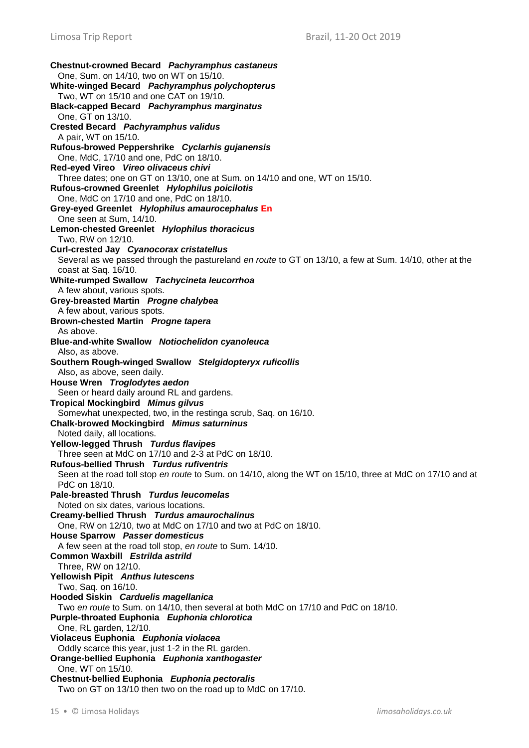**Chestnut-crowned Becard** *Pachyramphus castaneus* One, Sum. on 14/10, two on WT on 15/10. **White-winged Becard** *Pachyramphus polychopterus* Two, WT on 15/10 and one CAT on 19/10. **Black-capped Becard** *Pachyramphus marginatus* One, GT on 13/10. **Crested Becard** *Pachyramphus validus* A pair, WT on 15/10. **Rufous-browed Peppershrike** *Cyclarhis gujanensis* One, MdC, 17/10 and one, PdC on 18/10. **Red-eyed Vireo** *Vireo olivaceus chivi* Three dates; one on GT on 13/10, one at Sum. on 14/10 and one, WT on 15/10. **Rufous-crowned Greenlet** *Hylophilus poicilotis* One, MdC on 17/10 and one, PdC on 18/10. **Grey-eyed Greenlet** *Hylophilus amaurocephalus* **En** One seen at Sum, 14/10. **Lemon-chested Greenlet** *Hylophilus thoracicus* Two, RW on 12/10. **Curl-crested Jay** *Cyanocorax cristatellus* Several as we passed through the pastureland *en route* to GT on 13/10, a few at Sum. 14/10, other at the coast at Saq. 16/10. **White-rumped Swallow** *Tachycineta leucorrhoa* A few about, various spots. **Grey-breasted Martin** *Progne chalybea* A few about, various spots. **Brown-chested Martin** *Progne tapera* As above. **Blue-and-white Swallow** *Notiochelidon cyanoleuca* Also, as above. **Southern Rough-winged Swallow** *Stelgidopteryx ruficollis* Also, as above, seen daily. **House Wren** *Troglodytes aedon* Seen or heard daily around RL and gardens. **Tropical Mockingbird** *Mimus gilvus* Somewhat unexpected, two, in the restinga scrub, Saq. on 16/10. **Chalk-browed Mockingbird** *Mimus saturninus* Noted daily, all locations. **Yellow-legged Thrush** *Turdus flavipes* Three seen at MdC on 17/10 and 2-3 at PdC on 18/10. **Rufous-bellied Thrush** *Turdus rufiventris* Seen at the road toll stop *en route* to Sum. on 14/10, along the WT on 15/10, three at MdC on 17/10 and at PdC on 18/10. **Pale-breasted Thrush** *Turdus leucomelas* Noted on six dates, various locations. **Creamy-bellied Thrush** *Turdus amaurochalinus* One, RW on 12/10, two at MdC on 17/10 and two at PdC on 18/10. **House Sparrow** *Passer domesticus* A few seen at the road toll stop, *en route* to Sum. 14/10. **Common Waxbill** *Estrilda astrild* Three, RW on 12/10. **Yellowish Pipit** *Anthus lutescens* Two, Saq. on 16/10. **Hooded Siskin** *Carduelis magellanica* Two *en route* to Sum. on 14/10, then several at both MdC on 17/10 and PdC on 18/10. **Purple-throated Euphonia** *Euphonia chlorotica* One, RL garden, 12/10. **Violaceus Euphonia** *Euphonia violacea* Oddly scarce this year, just 1-2 in the RL garden. **Orange-bellied Euphonia** *Euphonia xanthogaster* One, WT on 15/10. **Chestnut-bellied Euphonia** *Euphonia pectoralis* Two on GT on 13/10 then two on the road up to MdC on 17/10.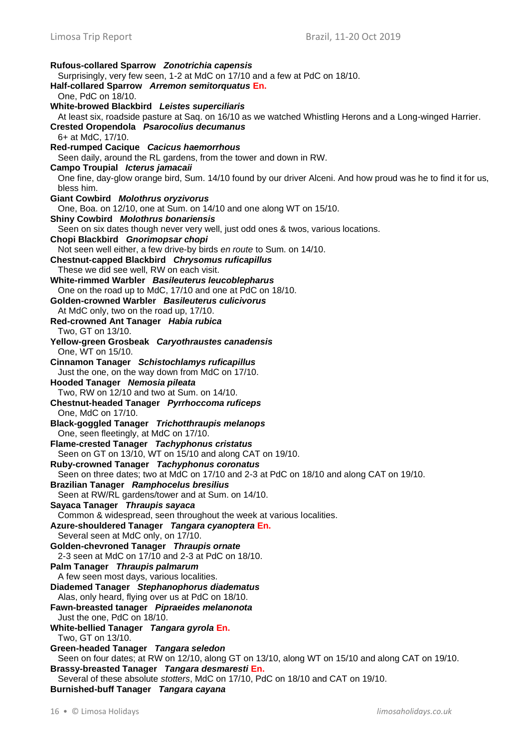**Rufous-collared Sparrow** *Zonotrichia capensis* Surprisingly, very few seen, 1-2 at MdC on 17/10 and a few at PdC on 18/10. **Half-collared Sparrow** *Arremon semitorquatus* **En.** One, PdC on 18/10. **White-browed Blackbird** *Leistes superciliaris* At least six, roadside pasture at Saq. on 16/10 as we watched Whistling Herons and a Long-winged Harrier. **Crested Oropendola** *Psarocolius decumanus* 6+ at MdC, 17/10. **Red-rumped Cacique** *Cacicus haemorrhous* Seen daily, around the RL gardens, from the tower and down in RW. **Campo Troupial** *Icterus jamacaii* One fine, day-glow orange bird, Sum. 14/10 found by our driver Alceni. And how proud was he to find it for us, bless him. **Giant Cowbird** *Molothrus oryzivorus* One, Boa. on 12/10, one at Sum. on 14/10 and one along WT on 15/10. **Shiny Cowbird** *Molothrus bonariensis* Seen on six dates though never very well, just odd ones & twos, various locations. **Chopi Blackbird** *Gnorimopsar chopi* Not seen well either, a few drive-by birds *en route* to Sum. on 14/10. **Chestnut-capped Blackbird** *Chrysomus ruficapillus* These we did see well, RW on each visit. **White-rimmed Warbler** *Basileuterus leucoblepharus* One on the road up to MdC, 17/10 and one at PdC on 18/10. **Golden-crowned Warbler** *Basileuterus culicivorus* At MdC only, two on the road up, 17/10. **Red-crowned Ant Tanager** *Habia rubica* Two, GT on 13/10. **Yellow-green Grosbeak** *Caryothraustes canadensis* One, WT on 15/10. **Cinnamon Tanager** *Schistochlamys ruficapillus* Just the one, on the way down from MdC on 17/10. **Hooded Tanager** *Nemosia pileata* Two, RW on 12/10 and two at Sum. on 14/10. **Chestnut-headed Tanager** *Pyrrhoccoma ruficeps* One, MdC on 17/10. **Black-goggled Tanager** *Trichotthraupis melanops* One, seen fleetingly, at MdC on 17/10. **Flame-crested Tanager** *Tachyphonus cristatus* Seen on GT on 13/10, WT on 15/10 and along CAT on 19/10. **Ruby-crowned Tanager** *Tachyphonus coronatus* Seen on three dates; two at MdC on 17/10 and 2-3 at PdC on 18/10 and along CAT on 19/10. **Brazilian Tanager** *Ramphocelus bresilius* Seen at RW/RL gardens/tower and at Sum. on 14/10. **Sayaca Tanager** *Thraupis sayaca* Common & widespread, seen throughout the week at various localities. **Azure-shouldered Tanager** *Tangara cyanoptera* **En.** Several seen at MdC only, on 17/10. **Golden-chevroned Tanager** *Thraupis ornate* 2-3 seen at MdC on 17/10 and 2-3 at PdC on 18/10. **Palm Tanager** *Thraupis palmarum* A few seen most days, various localities. **Diademed Tanager** *Stephanophorus diadematus* Alas, only heard, flying over us at PdC on 18/10. **Fawn-breasted tanager** *Pipraeides melanonota* Just the one, PdC on 18/10. **White-bellied Tanager** *Tangara gyrola* **En.** Two, GT on 13/10. **Green-headed Tanager** *Tangara seledon* Seen on four dates; at RW on 12/10, along GT on 13/10, along WT on 15/10 and along CAT on 19/10. **Brassy-breasted Tanager** *Tangara desmaresti* **En.** Several of these absolute *stotters*, MdC on 17/10, PdC on 18/10 and CAT on 19/10. **Burnished-buff Tanager** *Tangara cayana*